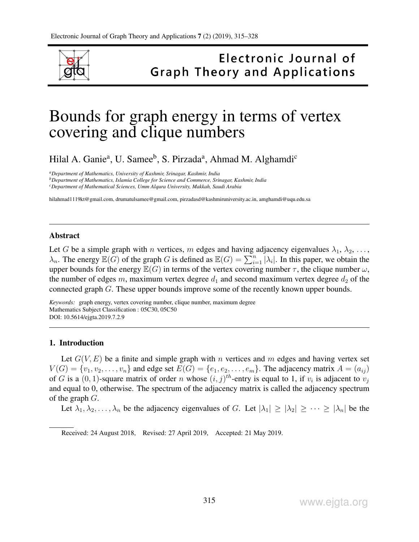

# Electronic Journal of **Graph Theory and Applications**

# Bounds for graph energy in terms of vertex covering and clique numbers

Hilal A. Ganie<sup>a</sup>, U. Samee<sup>b</sup>, S. Pirzada<sup>a</sup>, Ahmad M. Alghamdi<sup>c</sup>

*<sup>a</sup>Department of Mathematics, University of Kashmir, Srinagar, Kashmir, India*

*<sup>b</sup>Department of Mathematics, Islamia College for Science and Commerce, Srinagar, Kashmir, India*

*<sup>c</sup>Department of Mathematical Sciences, Umm Alqura University, Makkah, Saudi Arabia*

hilahmad1119kt@gmail.com, drumatulsamee@gmail.com, pirzadasd@kashmiruniversity.ac.in, amghamdi@uqu.edu.sa

#### Abstract

Let G be a simple graph with n vertices, m edges and having adjacency eigenvalues  $\lambda_1, \lambda_2, \ldots$ ,  $\lambda_n$ . The energy  $\mathbb{E}(G)$  of the graph G is defined as  $\mathbb{E}(G) = \sum_{i=1}^n |\lambda_i|$ . In this paper, we obtain the upper bounds for the energy  $\mathbb{E}(G)$  in terms of the vertex covering number  $\tau$ , the clique number  $\omega$ , the number of edges m, maximum vertex degree  $d_1$  and second maximum vertex degree  $d_2$  of the connected graph G. These upper bounds improve some of the recently known upper bounds.

*Keywords:* graph energy, vertex covering number, clique number, maximum degree Mathematics Subject Classification : 05C30, 05C50 DOI: 10.5614/ejgta.2019.7.2.9

## 1. Introduction

Let  $G(V, E)$  be a finite and simple graph with n vertices and m edges and having vertex set  $V(G) = \{v_1, v_2, \ldots, v_n\}$  and edge set  $E(G) = \{e_1, e_2, \ldots, e_m\}$ . The adjacency matrix  $A = (a_{ij})$ of G is a  $(0, 1)$ -square matrix of order n whose  $(i, j)$ <sup>th</sup>-entry is equal to 1, if  $v_i$  is adjacent to  $v_j$ and equal to 0, otherwise. The spectrum of the adjacency matrix is called the adjacency spectrum of the graph  $G$ .

Let  $\lambda_1, \lambda_2, \ldots, \lambda_n$  be the adjacency eigenvalues of G. Let  $|\lambda_1| \geq |\lambda_2| \geq \cdots \geq |\lambda_n|$  be the

Received: 24 August 2018, Revised: 27 April 2019, Accepted: 21 May 2019.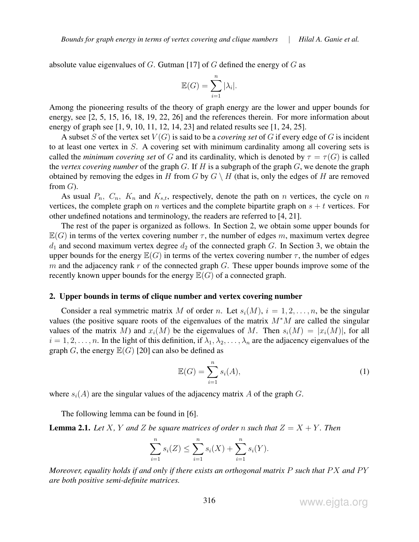absolute value eigenvalues of G. Gutman [17] of G defined the energy of G as

$$
\mathbb{E}(G) = \sum_{i=1}^{n} |\lambda_i|.
$$

Among the pioneering results of the theory of graph energy are the lower and upper bounds for energy, see [2, 5, 15, 16, 18, 19, 22, 26] and the references therein. For more information about energy of graph see [1, 9, 10, 11, 12, 14, 23] and related results see [1, 24, 25].

A subset S of the vertex set  $V(G)$  is said to be a *covering set* of G if every edge of G is incident to at least one vertex in S. A covering set with minimum cardinality among all covering sets is called the *minimum covering set* of G and its cardinality, which is denoted by  $\tau = \tau(G)$  is called the *vertex covering number* of the graph G. If H is a subgraph of the graph G, we denote the graph obtained by removing the edges in H from G by  $G \setminus H$  (that is, only the edges of H are removed from  $G$ ).

As usual  $P_n$ ,  $C_n$ ,  $K_n$  and  $K_{s,t}$ , respectively, denote the path on n vertices, the cycle on n vertices, the complete graph on n vertices and the complete bipartite graph on  $s + t$  vertices. For other undefined notations and terminology, the readers are referred to [4, 21].

The rest of the paper is organized as follows. In Section 2, we obtain some upper bounds for  $\mathbb{E}(G)$  in terms of the vertex covering number  $\tau$ , the number of edges m, maximum vertex degree  $d_1$  and second maximum vertex degree  $d_2$  of the connected graph G. In Section 3, we obtain the upper bounds for the energy  $\mathbb{E}(G)$  in terms of the vertex covering number  $\tau$ , the number of edges m and the adjacency rank  $r$  of the connected graph  $G$ . These upper bounds improve some of the recently known upper bounds for the energy  $\mathbb{E}(G)$  of a connected graph.

#### 2. Upper bounds in terms of clique number and vertex covering number

Consider a real symmetric matrix M of order n. Let  $s_i(M)$ ,  $i = 1, 2, \ldots, n$ , be the singular values (the positive square roots of the eigenvalues of the matrix M<sup>∗</sup>M are called the singular values of the matrix M) and  $x_i(M)$  be the eigenvalues of M. Then  $s_i(M) = |x_i(M)|$ , for all  $i = 1, 2, \ldots, n$ . In the light of this definition, if  $\lambda_1, \lambda_2, \ldots, \lambda_n$  are the adjacency eigenvalues of the graph G, the energy  $\mathbb{E}(G)$  [20] can also be defined as

$$
\mathbb{E}(G) = \sum_{i=1}^{n} s_i(A),\tag{1}
$$

where  $s_i(A)$  are the singular values of the adjacency matrix A of the graph G.

The following lemma can be found in [6].

**Lemma 2.1.** Let X, Y and Z be square matrices of order n such that  $Z = X + Y$ . Then

$$
\sum_{i=1}^{n} s_i(Z) \le \sum_{i=1}^{n} s_i(X) + \sum_{i=1}^{n} s_i(Y).
$$

*Moreover, equality holds if and only if there exists an orthogonal matrix* P *such that* PX and PY *are both positive semi-definite matrices.*

www.ejgta.org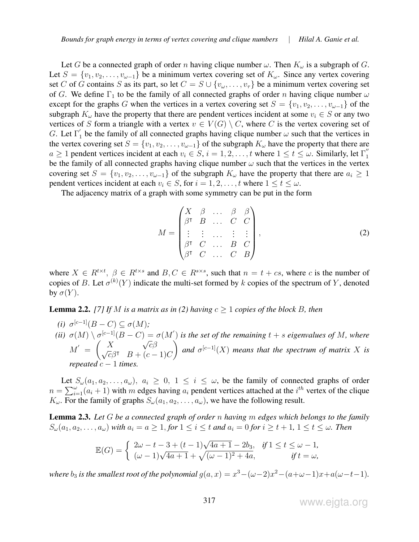Let G be a connected graph of order n having clique number  $\omega$ . Then  $K_{\omega}$  is a subgraph of G. Let  $S = \{v_1, v_2, \ldots, v_{\omega-1}\}\$ be a minimum vertex covering set of  $K_{\omega}$ . Since any vertex covering set C of G contains S as its part, so let  $C = S \cup \{v_\omega, \ldots, v_\tau\}$  be a minimum vertex covering set of G. We define  $\Gamma_1$  to be the family of all connected graphs of order n having clique number  $\omega$ except for the graphs G when the vertices in a vertex covering set  $S = \{v_1, v_2, \ldots, v_{\omega-1}\}\$  of the subgraph  $K_{\omega}$  have the property that there are pendent vertices incident at some  $v_i \in S$  or any two vertices of S form a triangle with a vertex  $v \in V(G) \setminus C$ , where C is the vertex covering set of G. Let  $\Gamma'_1$  be the family of all connected graphs having clique number  $\omega$  such that the vertices in the vertex covering set  $S = \{v_1, v_2, \dots, v_{\omega-1}\}\$  of the subgraph  $K_{\omega}$  have the property that there are  $a \ge 1$  pendent vertices incident at each  $v_i \in S$ ,  $i = 1, 2, \ldots, t$  where  $1 \le t \le \omega$ . Similarly, let  $\Gamma''_1$ 1 be the family of all connected graphs having clique number  $\omega$  such that the vertices in the vertex covering set  $S = \{v_1, v_2, \ldots, v_{\omega-1}\}\$  of the subgraph  $K_{\omega}$  have the property that there are  $a_i \geq 1$ pendent vertices incident at each  $v_i \in S$ , for  $i = 1, 2, \ldots, t$  where  $1 \le t \le \omega$ .

The adjacency matrix of a graph with some symmetry can be put in the form

$$
M = \begin{pmatrix} X & \beta & \dots & \beta & \beta \\ \beta^{\dagger} & B & \dots & C & C \\ \vdots & \vdots & \dots & \vdots & \vdots \\ \beta^{\dagger} & C & \dots & B & C \\ \beta^{\dagger} & C & \dots & C & B \end{pmatrix},\tag{2}
$$

where  $X \in R^{t \times t}$ ,  $\beta \in R^{t \times s}$  and  $B, C \in R^{s \times s}$ , such that  $n = t + cs$ , where c is the number of copies of B. Let  $\sigma^{(k)}(Y)$  indicate the multi-set formed by k copies of the spectrum of Y, denoted by  $\sigma(Y)$ .

**Lemma 2.2.** [7] If M is a matrix as in (2) having  $c \ge 1$  copies of the block B, then

*(i)*  $\sigma^{[c-1]}(B-C) \subseteq \sigma(M)$ ; *(ii)*  $\sigma(M) \setminus \sigma^{[c-1]}(B-C) = \sigma(M')$  is the set of the remaining  $t + s$  eigenvalues of M, where  $M' =$  $\left( X\right)$ √  $\begin{array}{cc} X&\sqrt{c}\beta\ \sqrt{c}\beta^{\intercal} & B+(c-1)C \end{array}$  $\setminus$ and  $\sigma^{[c-1]}(X)$  *means that the spectrum of matrix* X *is repeated*  $c - 1$  *time* 

Let  $S_\omega(a_1, a_2, \ldots, a_\omega)$ ,  $a_i \geq 0$ ,  $1 \leq i \leq \omega$ , be the family of connected graphs of order  $n = \sum_{i=1}^{\omega} (a_i + 1)$  with m edges having  $a_i$  pendent vertices attached at the  $i^{th}$  vertex of the clique  $K_{\omega}$ . For the family of graphs  $S_{\omega}(a_1, a_2, \dots, a_{\omega})$ , we have the following result.

Lemma 2.3. *Let* G *be a connected graph of order* n *having* m *edges which belongs to the family*  $S_{\omega}(a_1, a_2, \ldots, a_{\omega})$  *with*  $a_i = a \geq 1$ , *for*  $1 \leq i \leq t$  *and*  $a_i = 0$  *for*  $i \geq t + 1$ ,  $1 \leq t \leq \omega$ . Then

$$
\mathbb{E}(G) = \begin{cases} 2\omega - t - 3 + (t - 1)\sqrt{4a + 1} - 2b_3, & \text{if } 1 \le t \le \omega - 1, \\ (\omega - 1)\sqrt{4a + 1} + \sqrt{(\omega - 1)^2 + 4a}, & \text{if } t = \omega, \end{cases}
$$

*where*  $b_3$  *is the smallest root of the polynomial*  $g(a, x) = x^3 - (\omega - 2)x^2 - (a + \omega - 1)x + a(\omega - t - 1)$ *.*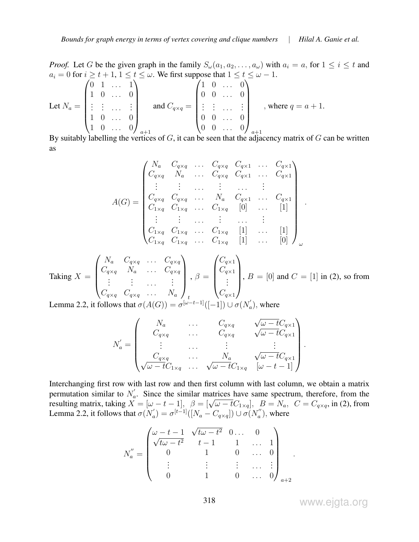*Proof.* Let G be the given graph in the family  $S_\omega(a_1, a_2, \ldots, a_\omega)$  with  $a_i = a$ , for  $1 \le i \le t$  and  $a_i = 0$  for  $i \ge t + 1, 1 \le t \le \omega$ . We first suppose that  $1 \le t \le \omega - 1$ .

Let 
$$
N_a = \begin{pmatrix} 0 & 1 & \dots & 1 \\ 1 & 0 & \dots & 0 \\ \vdots & \vdots & \dots & \vdots \\ 1 & 0 & \dots & 0 \\ 1 & 0 & \dots & 0 \end{pmatrix}_{a+1}
$$
 and  $C_{q \times q} = \begin{pmatrix} 1 & 0 & \dots & 0 \\ 0 & 0 & \dots & 0 \\ \vdots & \vdots & \dots & \vdots \\ 0 & 0 & \dots & 0 \\ 0 & 0 & \dots & 0 \end{pmatrix}_{a+1}$ , where  $q = a + 1$ .

By suitably labelling the vertices of G, it can be seen that the adjacency matrix of G can be written as

$$
A(G) = \begin{pmatrix} N_a & C_{q \times q} & \dots & C_{q \times q} & C_{q \times 1} & \dots & C_{q \times 1} \\ C_{q \times q} & N_a & \dots & C_{q \times q} & C_{q \times 1} & \dots & C_{q \times 1} \\ \vdots & \vdots & \dots & \vdots & \dots & \vdots \\ C_{q \times q} & C_{q \times q} & \dots & N_a & C_{q \times 1} & \dots & C_{q \times 1} \\ C_{1 \times q} & C_{1 \times q} & \dots & C_{1 \times q} & [0] & \dots & [1] \\ \vdots & \vdots & \dots & \vdots & \dots & \vdots \\ C_{1 \times q} & C_{1 \times q} & \dots & C_{1 \times q} & [1] & \dots & [1] \\ C_{1 \times q} & C_{1 \times q} & \dots & C_{1 \times q} & [1] & \dots & [0] \end{pmatrix}_{\omega}
$$

Taking 
$$
X = \begin{pmatrix} N_a & C_{q \times q} & \dots & C_{q \times q} \\ C_{q \times q} & N_a & \dots & C_{q \times q} \\ \vdots & \vdots & \dots & \vdots \\ C_{q \times q} & C_{q \times q} & \dots & N_a \end{pmatrix}, \beta = \begin{pmatrix} C_{q \times 1} \\ C_{q \times 1} \\ \vdots \\ C_{q \times 1} \end{pmatrix}, B = [0] \text{ and } C = [1] \text{ in (2), so from}
$$

Lemma 2.2, it follows that  $\sigma(A(G)) = \sigma^{[\omega - t - 1]}([-1]) \cup \sigma(N'_\alpha)$  $a'$ ), where

$$
N_a' = \begin{pmatrix} N_a & \dots & C_{q \times q} & \sqrt{\omega - t} C_{q \times 1} \\ C_{q \times q} & \dots & C_{q \times q} & \sqrt{\omega - t} C_{q \times 1} \\ \vdots & \dots & \vdots & \vdots \\ C_{q \times q} & \dots & N_a & \sqrt{\omega - t} C_{q \times 1} \\ \sqrt{\omega - t} C_{1 \times q} & \dots & \sqrt{\omega - t} C_{1 \times q} & [\omega - t - 1] \end{pmatrix}.
$$

Interchanging first row with last row and then first column with last column, we obtain a matrix permutation similar to  $N_a$  $a<sub>a</sub>$ . Since the similar matrices have same spectrum, therefore, from the permutation similar to  $N_a$ . Since the similar matrices have same spectrum, therefore, from the resulting matrix, taking  $X = [\omega - t - 1]$ ,  $\beta = [\sqrt{\omega - t}C_{1\times q}]$ ,  $B = N_a$ ,  $C = C_{q\times q}$ , in (2), from Lemma 2.2, it follows that  $\sigma(N'_a)$  $a_{a}^{'} ) = \sigma^{[t-1]} ( [ N_{a} - C_{q \times q} ] ) \cup \sigma ( N_{a}^{''} )$  $\binom{n}{a}$ , where

$$
N_a'' = \begin{pmatrix} \omega - t - 1 & \sqrt{t\omega - t^2} & 0 & \dots & 0 \\ \sqrt{t\omega - t^2} & t - 1 & 1 & \dots & 1 \\ 0 & 1 & 0 & \dots & 0 \\ \vdots & \vdots & \vdots & \dots & \vdots \\ 0 & 1 & 0 & \dots & 0 \end{pmatrix}_{a+2}
$$

www.ejgta.org

.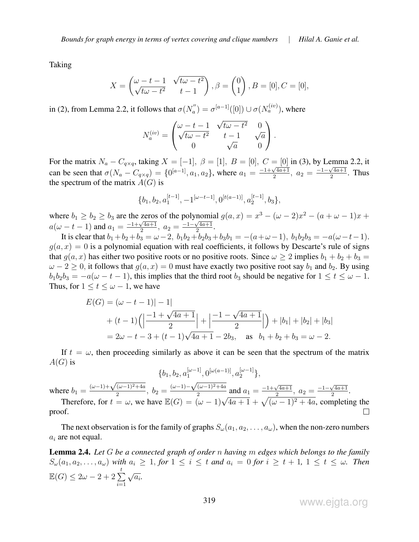Taking

$$
X = \begin{pmatrix} \omega - t - 1 & \sqrt{t\omega - t^2} \\ \sqrt{t\omega - t^2} & t - 1 \end{pmatrix}, \beta = \begin{pmatrix} 0 \\ 1 \end{pmatrix}, B = [0], C = [0],
$$

in (2), from Lemma 2.2, it follows that  $\sigma(N_{a}^{''})$  $\sigma_a^{''}) = \sigma^{[a-1]}([0]) \cup \sigma(N_a^{(iv)})$ , where

$$
N_a^{(iv)} = \begin{pmatrix} \omega - t - 1 & \sqrt{t\omega - t^2} & 0 \\ \sqrt{t\omega - t^2} & t - 1 & \sqrt{a} \\ 0 & \sqrt{a} & 0 \end{pmatrix}.
$$

For the matrix  $N_a - C_{a \times a}$ , taking  $X = [-1]$ ,  $\beta = [1]$ ,  $B = [0]$ ,  $C = [0]$  in (3), by Lemma 2.2, it can be seen that  $\sigma(N_a - C_{q \times q}) = \{0^{[a-1]}, a_1, a_2\}$ , where  $a_1 = \frac{-1 + \sqrt{4a+1}}{2}$  $\frac{\sqrt{4a+1}}{2}$ ,  $a_2 = \frac{-1-\sqrt{4a+1}}{2}$  $\frac{\sqrt{4a+1}}{2}$ . Thus the spectrum of the matrix  $A(G)$  is

$$
\{b_1, b_2, a_1^{[t-1]}, -1^{[\omega -t-1]}, 0^{[t(a-1)]}, a_2^{[t-1]}, b_3\},\
$$

where  $b_1 \geq b_2 \geq b_3$  are the zeros of the polynomial  $g(a, x) = x^3 - (\omega - 2)x^2 - (a + \omega - 1)x +$ where  $\sigma_1 \leq \sigma_2 \leq \sigma_3$  are the zero:<br> $a(\omega - t - 1)$  and  $a_1 = \frac{-1 + \sqrt{4a+1}}{2}$  $\sqrt{\frac{4a+1}{2}}, a_2 = \frac{-1-\sqrt{4a+1}}{2}$  $\frac{\sqrt{4a+1}}{2}$ .

It is clear that  $b_1 + b_2 + b_3 = \omega - 2$ ,  $b_1b_2 + b_2b_3 + b_3b_1 = -(a + \omega - 1)$ ,  $b_1b_2b_3 = -a(\omega - t - 1)$ .  $g(a, x) = 0$  is a polynomial equation with real coefficients, it follows by Descarte's rule of signs that  $g(a, x)$  has either two positive roots or no positive roots. Since  $\omega \ge 2$  implies  $b_1 + b_2 + b_3 =$  $\omega - 2 \ge 0$ , it follows that  $g(a, x) = 0$  must have exactly two positive root say  $b_1$  and  $b_2$ . By using  $b_1b_2b_3 = -a(\omega - t - 1)$ , this implies that the third root  $b_3$  should be negative for  $1 \le t \le \omega - 1$ . Thus, for  $1 \le t \le \omega - 1$ , we have

$$
E(G) = (\omega - t - 1)| - 1|
$$
  
+  $(t - 1)(\left|\frac{-1 + \sqrt{4a + 1}}{2}\right| + \left|\frac{-1 - \sqrt{4a + 1}}{2}\right|) + |b_1| + |b_2| + |b_3|$   
=  $2\omega - t - 3 + (t - 1)\sqrt{4a + 1} - 2b_3$ , as  $b_1 + b_2 + b_3 = \omega - 2$ .

If  $t = \omega$ , then proceeding similarly as above it can be seen that the spectrum of the matrix  $A(G)$  is

$$
\{b_1, b_2, a_1^{[\omega-1]}, 0^{[\omega(a-1)]}, a_2^{[\omega-1]}\},
$$
  
where  $b_1 = \frac{(\omega-1) + \sqrt{(\omega-1)^2 + 4a}}{2}$ ,  $b_2 = \frac{(\omega-1) - \sqrt{(\omega-1)^2 + 4a}}{2}$  and  $a_1 = \frac{-1 + \sqrt{4a+1}}{2}$ ,  $a_2 = \frac{-1 - \sqrt{4a+1}}{2}$ .  
Therefore, for  $t = \omega$ , we have  $\mathbb{E}(G) = (\omega - 1)\sqrt{4a+1} + \sqrt{(\omega - 1)^2 + 4a}$ , completing t

 $(\omega - 1)^2 + 4a$ , completing the  $\Box$ proof.

The next observation is for the family of graphs  $S_\omega(a_1, a_2, \ldots, a_\omega)$ , when the non-zero numbers  $a_i$  are not equal.

Lemma 2.4. *Let* G *be a connected graph of order* n *having* m *edges which belongs to the family*  $S_{\omega}(a_1, a_2, \ldots, a_{\omega})$  *with*  $a_i \geq 1$ , *for*  $1 \leq i \leq t$  *and*  $a_i = 0$  *for*  $i \geq t + 1$ ,  $1 \leq t \leq \omega$ *. Then*  $\mathbb{E}(G) \leq 2\omega - 2 + 2\sum_{i=1}^{t}$  $i=1$  $\sqrt{a_i}$ .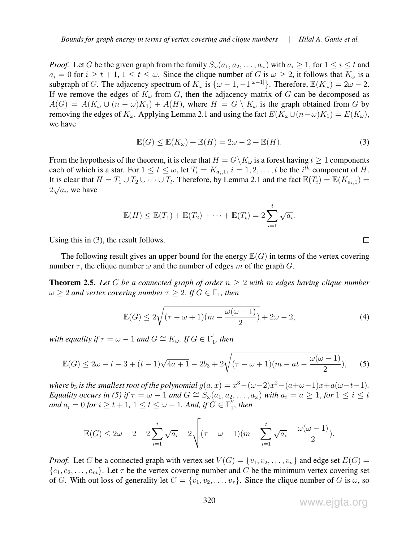*Proof.* Let G be the given graph from the family  $S_\omega(a_1, a_2, \ldots, a_\omega)$  with  $a_i \geq 1$ , for  $1 \leq i \leq t$  and  $a_i = 0$  for  $i \ge t + 1$ ,  $1 \le t \le \omega$ . Since the clique number of G is  $\omega \ge 2$ , it follows that  $K_{\omega}$  is a subgraph of G. The adjacency spectrum of  $K_{\omega}$  is  $\{\omega - 1, -1^{[\omega - 1]}\}\$ . Therefore,  $\mathbb{E}(K_{\omega}) = 2\omega - 2$ . If we remove the edges of  $K_{\omega}$  from G, then the adjacency matrix of G can be decomposed as  $A(G) = A(K_\omega \cup (n - \omega)K_1) + A(H)$ , where  $H = G \setminus K_\omega$  is the graph obtained from G by removing the edges of  $K_{\omega}$ . Applying Lemma 2.1 and using the fact  $E(K_{\omega}\cup (n-\omega)K_1) = E(K_{\omega}),$ we have

$$
\mathbb{E}(G) \le \mathbb{E}(K_{\omega}) + \mathbb{E}(H) = 2\omega - 2 + \mathbb{E}(H). \tag{3}
$$

From the hypothesis of the theorem, it is clear that  $H = G\backslash K_\omega$  is a forest having  $t \geq 1$  components each of which is a star. For  $1 \le t \le \omega$ , let  $T_i = K_{a_i,1}$ ,  $i = 1, 2, \ldots, t$  be the  $i^{th}$  component of H. It is clear that  $H = T_1 \cup T_2 \cup \cdots \cup T_t$ . Therefore, by Lemma 2.1 and the fact  $\mathbb{E}(T_i) = \mathbb{E}(K_{a_i,1}) =$  $2\sqrt{a_i}$ , we have

$$
\mathbb{E}(H) \leq \mathbb{E}(T_1) + \mathbb{E}(T_2) + \cdots + \mathbb{E}(T_t) = 2\sum_{i=1}^t \sqrt{a_i}.
$$

Using this in (3), the result follows.

The following result gives an upper bound for the energy  $\mathbb{E}(G)$  in terms of the vertex covering number  $\tau$ , the clique number  $\omega$  and the number of edges m of the graph G.

**Theorem 2.5.** Let G be a connected graph of order  $n \geq 2$  with m edges having clique number  $\omega \geq 2$  *and vertex covering number*  $\tau \geq 2$ *. If*  $G \in \Gamma_1$ *, then* 

$$
\mathbb{E}(G) \le 2\sqrt{(\tau - \omega + 1)(m - \frac{\omega(\omega - 1)}{2})} + 2\omega - 2,\tag{4}
$$

*with equality if*  $\tau = \omega - 1$  *and*  $G \cong K_{\omega}$ . *If*  $G \in \Gamma'_1$  $\eta'$ , then

$$
\mathbb{E}(G) \le 2\omega - t - 3 + (t - 1)\sqrt{4a + 1} - 2b_3 + 2\sqrt{(\tau - \omega + 1)(m - at - \frac{\omega(\omega - 1)}{2})},
$$
 (5)

*where*  $b_3$  *is the smallest root of the polynomial*  $g(a, x) = x^3 - (\omega - 2)x^2 - (a + \omega - 1)x + a(\omega - t - 1)$ *. Equality occurs in (5) if*  $\tau = \omega - 1$  *and*  $G \cong S_{\omega}(a_1, a_2, \ldots, a_{\omega})$  *with*  $a_i = a \geq 1$ , *for*  $1 \leq i \leq t$ *and*  $a_i = 0$  *for*  $i \geq t + 1$ ,  $1 \leq t \leq \omega - 1$ *. And, if*  $G \in \Gamma''_1$  $j'$ , then

$$
\mathbb{E}(G) \leq 2\omega - 2 + 2\sum_{i=1}^t \sqrt{a_i} + 2\sqrt{(\tau - \omega + 1)(m - \sum_{i=1}^t \sqrt{a_i} - \frac{\omega(\omega - 1)}{2})}.
$$

*Proof.* Let G be a connected graph with vertex set  $V(G) = \{v_1, v_2, \ldots, v_n\}$  and edge set  $E(G)$  $\{e_1, e_2, \ldots, e_m\}$ . Let  $\tau$  be the vertex covering number and C be the minimum vertex covering set of G. With out loss of generality let  $C = \{v_1, v_2, \ldots, v_{\tau}\}\)$ . Since the clique number of G is  $\omega$ , so

www.ejgta.org

 $\Box$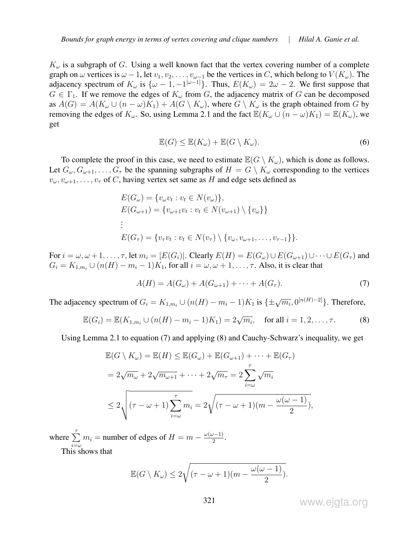$K_{\omega}$  is a subgraph of G. Using a well known fact that the vertex covering number of a complete graph on  $\omega$  vertices is  $\omega - 1$ , let  $v_1, v_2, \ldots, v_{\omega-1}$  be the vertices in C, which belong to  $V(K_{\omega})$ . The adjacency spectrum of  $K_{\omega}$  is  $\{\omega - 1, -1^{[\omega - 1]}\}\$ . Thus,  $E(K_{\omega}) = 2\omega - 2$ . We first suppose that  $G \in \Gamma_1$ . If we remove the edges of  $K_{\omega}$  from G, the adjacency matrix of G can be decomposed as  $A(G) = A(K_\omega \cup (n - \omega)K_1) + A(G \setminus K_\omega)$ , where  $G \setminus K_\omega$  is the graph obtained from G by removing the edges of  $K_{\omega}$ . So, using Lemma 2.1 and the fact  $\mathbb{E}(K_{\omega} \cup (n - \omega)K_1) = \mathbb{E}(K_{\omega})$ , we get

$$
\mathbb{E}(G) \le \mathbb{E}(K_{\omega}) + \mathbb{E}(G \setminus K_{\omega}).
$$
\n(6)

To complete the proof in this case, we need to estimate  $\mathbb{E}(G \setminus K_{\omega})$ , which is done as follows. Let  $G_{\omega}, G_{\omega+1}, \ldots, G_{\tau}$  be the spanning subgraphs of  $H = G \setminus K_{\omega}$  corresponding to the vertices  $v_{\omega}, v_{\omega+1}, \ldots, v_{\tau}$  of C, having vertex set same as H and edge sets defined as

$$
E(G_{\omega}) = \{v_{\omega}v_t : v_t \in N(v_{\omega})\},
$$
  
\n
$$
E(G_{\omega+1}) = \{v_{\omega+1}v_t : v_t \in N(v_{\omega+1}) \setminus \{v_{\omega}\}\}
$$
  
\n
$$
\vdots
$$
  
\n
$$
E(G_{\tau}) = \{v_{\tau}v_t : v_t \in N(v_{\tau}) \setminus \{v_{\omega}, v_{\omega+1}, \dots, v_{\tau-1}\}\}.
$$

For  $i = \omega, \omega + 1, \ldots, \tau$ , let  $m_i = |E(G_i)|$ . Clearly  $E(H) = E(G_{\omega}) \cup E(G_{\omega+1}) \cup \cdots \cup E(G_{\tau})$  and  $G_i = K_{1,m_i} \cup (n(H) - m_i - 1)K_1$ , for all  $i = \omega, \omega + 1, \ldots, \tau$ . Also, it is clear that

$$
A(H) = A(G_{\omega}) + A(G_{\omega+1}) + \dots + A(G_{\tau}).
$$
\n(7)

The adjacency spectrum of  $G_i = K_{1,m_i} \cup (n(H) - m_i - 1)K_1$  is  $\{\pm \sqrt{m_i}, 0^{[n(H)-2]}\}\)$ . Therefore,

$$
\mathbb{E}(G_i) = \mathbb{E}(K_{1,m_i} \cup (n(H) - m_i - 1)K_1) = 2\sqrt{m_i}, \text{ for all } i = 1, 2, ..., \tau.
$$
 (8)

Using Lemma 2.1 to equation (7) and applying (8) and Cauchy-Schwarz's inequality, we get

$$
\mathbb{E}(G \setminus K_{\omega}) = \mathbb{E}(H) \leq \mathbb{E}(G_{\omega}) + \mathbb{E}(G_{\omega+1}) + \dots + \mathbb{E}(G_{\tau})
$$
  
=  $2\sqrt{m_{\omega}} + 2\sqrt{m_{\omega+1}} + \dots + 2\sqrt{m_{\tau}} = 2\sum_{i=\omega}^{\tau} \sqrt{m_i}$   
 $\leq 2\sqrt{(\tau - \omega + 1)\sum_{i=\omega}^{\tau} m_i} = 2\sqrt{(\tau - \omega + 1)(m - \frac{\omega(\omega - 1)}{2})},$ 

where  $\sum$ <sup> $\tau$ </sup>  $i=\omega$  $m_i$  = number of edges of  $H = m - \frac{\omega(\omega - 1)}{2}$  $\frac{2^{j-1}}{2}$ . This shows that

$$
\mathbb{E}(G\setminus K_{\omega})\leq 2\sqrt{(\tau-\omega+1)(m-\frac{\omega(\omega-1)}{2})}.
$$

www.ejgta.org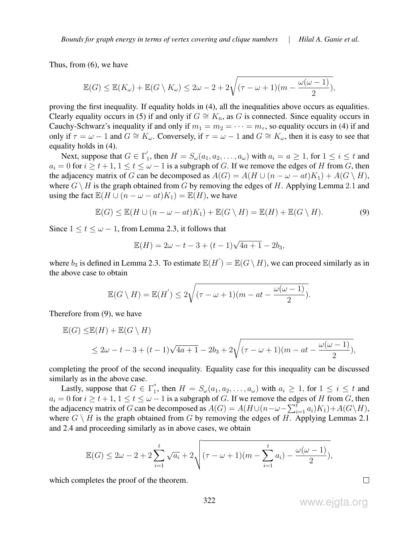Thus, from (6), we have

$$
\mathbb{E}(G) \le \mathbb{E}(K_{\omega}) + \mathbb{E}(G \setminus K_{\omega}) \le 2\omega - 2 + 2\sqrt{(\tau - \omega + 1)(m - \frac{\omega(\omega - 1)}{2})},
$$

proving the first inequality. If equality holds in (4), all the inequalities above occurs as equalities. Clearly equality occurs in (5) if and only if  $G \cong K_n$ , as G is connected. Since equality occurs in Cauchy-Schwarz's inequality if and only if  $m_1 = m_2 = \cdots = m_\tau$ , so equality occurs in (4) if and only if  $\tau = \omega - 1$  and  $G \cong K_{\omega}$ . Conversely, if  $\tau = \omega - 1$  and  $G \cong K_{\omega}$ , then it is easy to see that equality holds in (4).

Next, suppose that  $G \in \Gamma'_1$ <sup>1</sup><sub>1</sub>, then  $H = S_{\omega}(a_1, a_2, \dots, a_{\omega})$  with  $a_i = a \ge 1$ , for  $1 \le i \le t$  and  $a_i = 0$  for  $i \geq t + 1$ ,  $1 \leq t \leq \omega - 1$  is a subgraph of G. If we remove the edges of H from G, then the adjacency matrix of G can be decomposed as  $A(G) = A(H \cup (n - \omega - at)K_1) + A(G \setminus H)$ , where  $G \setminus H$  is the graph obtained from G by removing the edges of H. Applying Lemma 2.1 and using the fact  $\mathbb{E}(H \cup (n - \omega - at)K_1) = \mathbb{E}(H)$ , we have

$$
\mathbb{E}(G) \le \mathbb{E}(H \cup (n - \omega - at)K_1) + \mathbb{E}(G \setminus H) = \mathbb{E}(H) + \mathbb{E}(G \setminus H). \tag{9}
$$

Since  $1 \le t \le \omega - 1$ , from Lemma 2.3, it follows that

$$
\mathbb{E}(H) = 2\omega - t - 3 + (t - 1)\sqrt{4a + 1} - 2b_3,
$$

where  $b_3$  is defined in Lemma 2.3. To estimate  $\mathbb{E}(H') = \mathbb{E}(G \setminus H)$ , we can proceed similarly as in the above case to obtain

$$
\mathbb{E}(G\setminus H) = \mathbb{E}(H') \le 2\sqrt{(\tau - \omega + 1)(m - at - \frac{\omega(\omega - 1)}{2})}.
$$

Therefore from (9), we have

$$
\mathbb{E}(G) \le \mathbb{E}(H) + \mathbb{E}(G \setminus H)
$$
  
\n
$$
\le 2\omega - t - 3 + (t - 1)\sqrt{4a + 1} - 2b_3 + 2\sqrt{(\tau - \omega + 1)(m - at - \frac{\omega(\omega - 1)}{2})},
$$

completing the proof of the second inequality. Equality case for this inequality can be discussed similarly as in the above case.

Lastly, suppose that  $G \in \Gamma_1''$  $j_1''$ , then  $H = S_{\omega}(a_1, a_2, \dots, a_{\omega})$  with  $a_i \geq 1$ , for  $1 \leq i \leq t$  and  $a_i = 0$  for  $i \ge t + 1, 1 \le t \le \omega - 1$  is a subgraph of G. If we remove the edges of H from G, then the adjacency matrix of G can be decomposed as  $A(G) = A(H \cup (n - \omega - \sum_{i=1}^{f} a_i)K_1) + A(G \setminus H)$ , where  $G \setminus H$  is the graph obtained from G by removing the edges of H. Applying Lemmas 2.1 and 2.4 and proceeding similarly as in above cases, we obtain

$$
\mathbb{E}(G) \le 2\omega - 2 + 2\sum_{i=1}^{t} \sqrt{a_i} + 2\sqrt{(\tau - \omega + 1)(m - \sum_{i=1}^{t} a_i) - \frac{\omega(\omega - 1)}{2}},
$$

which completes the proof of the theorem.

www.ejgta.org

 $\Box$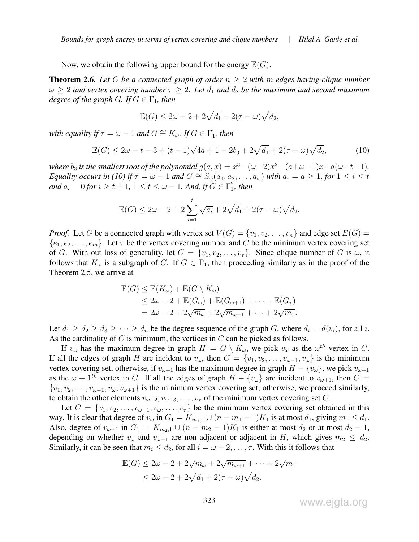Now, we obtain the following upper bound for the energy  $\mathbb{E}(G)$ .

Theorem 2.6. *Let* G *be a connected graph of order* n ≥ 2 *with* m *edges having clique number*  $\omega \geq 2$  and vertex covering number  $\tau \geq 2$ . Let  $d_1$  and  $d_2$  be the maximum and second maximum *degree of the graph G.* If  $G \in \Gamma_1$ , then

$$
\mathbb{E}(G) \le 2\omega - 2 + 2\sqrt{d_1} + 2(\tau - \omega)\sqrt{d_2},
$$

*with equality if*  $\tau = \omega - 1$  *and*  $G \cong K_{\omega}$ *. If*  $G \in \Gamma'_1$  $\eta'$ , then

$$
\mathbb{E}(G) \le 2\omega - t - 3 + (t - 1)\sqrt{4a + 1} - 2b_3 + 2\sqrt{d_1} + 2(\tau - \omega)\sqrt{d_2},
$$
\n(10)

*where*  $b_3$  *is the smallest root of the polynomial*  $g(a, x) = x^3 - (\omega - 2)x^2 - (a + \omega - 1)x + a(\omega - t - 1)$ *. Equality occurs in (10) if*  $\tau = \omega - 1$  *and*  $G \cong S_{\omega}(a_1, a_2, \ldots, a_{\omega})$  *with*  $a_i = a \ge 1$ , *for*  $1 \le i \le t$ *and*  $a_i = 0$  *for*  $i \geq t + 1$ ,  $1 \leq t \leq \omega - 1$ *. And, if*  $G \in \Gamma''_1$  $j'$ , then

$$
\mathbb{E}(G) \le 2\omega - 2 + 2\sum_{i=1}^{t} \sqrt{a_i} + 2\sqrt{d_1} + 2(\tau - \omega)\sqrt{d_2}.
$$

*Proof.* Let G be a connected graph with vertex set  $V(G) = \{v_1, v_2, \ldots, v_n\}$  and edge set  $E(G)$  $\{e_1, e_2, \ldots, e_m\}$ . Let  $\tau$  be the vertex covering number and C be the minimum vertex covering set of G. With out loss of generality, let  $C = \{v_1, v_2, \ldots, v_{\tau}\}\$ . Since clique number of G is  $\omega$ , it follows that  $K_{\omega}$  is a subgraph of G. If  $G \in \Gamma_1$ , then proceeding similarly as in the proof of the Theorem 2.5, we arrive at

$$
\mathbb{E}(G) \leq \mathbb{E}(K_{\omega}) + \mathbb{E}(G \setminus K_{\omega})
$$
  
\n
$$
\leq 2\omega - 2 + \mathbb{E}(G_{\omega}) + \mathbb{E}(G_{\omega+1}) + \cdots + \mathbb{E}(G_{\tau})
$$
  
\n
$$
= 2\omega - 2 + 2\sqrt{m_{\omega}} + 2\sqrt{m_{\omega+1}} + \cdots + 2\sqrt{m_{\tau}}.
$$

Let  $d_1 \geq d_2 \geq d_3 \geq \cdots \geq d_n$  be the degree sequence of the graph G, where  $d_i = d(v_i)$ , for all i. As the cardinality of  $C$  is minimum, the vertices in  $C$  can be picked as follows.

If  $v_\omega$  has the maximum degree in graph  $H = G \setminus K_\omega$ , we pick  $v_\omega$  as the  $\omega^{th}$  vertex in C. If all the edges of graph H are incident to  $v_{\omega}$ , then  $C = \{v_1, v_2, \dots, v_{\omega-1}, v_{\omega}\}\$ is the minimum vertex covering set, otherwise, if  $v_{\omega+1}$  has the maximum degree in graph  $H - \{v_{\omega}\}\)$ , we pick  $v_{\omega+1}$ as the  $\omega$  + 1<sup>th</sup> vertex in C. If all the edges of graph  $H - \{v_{\omega}\}\$ are incident to  $v_{\omega+1}$ , then  $C =$  $\{v_1, v_2, \ldots, v_{\omega-1}, v_{\omega}, v_{\omega+1}\}\$  is the minimum vertex covering set, otherwise, we proceed similarly, to obtain the other elements  $v_{\omega+2}, v_{\omega+3}, \dots, v_{\tau}$  of the minimum vertex covering set C.

Let  $C = \{v_1, v_2, \ldots, v_{\omega-1}, v_{\omega}, \ldots, v_{\tau}\}\$  be the minimum vertex covering set obtained in this way. It is clear that degree of  $v_{\omega}$  in  $G_1 = K_{m_1,1} \cup (n - m_1 - 1)K_1$  is at most  $d_1$ , giving  $m_1 \leq d_1$ . Also, degree of  $v_{\omega+1}$  in  $G_1 = K_{m_2,1} \cup (n - m_2 - 1)K_1$  is either at most  $d_2$  or at most  $d_2 - 1$ , depending on whether  $v_{\omega}$  and  $v_{\omega+1}$  are non-adjacent or adjacent in H, which gives  $m_2 \leq d_2$ . Similarly, it can be seen that  $m_i \leq d_2$ , for all  $i = \omega + 2, \ldots, \tau$ . With this it follows that

$$
\mathbb{E}(G) \le 2\omega - 2 + 2\sqrt{m_{\omega}} + 2\sqrt{m_{\omega+1}} + \dots + 2\sqrt{m_{\tau}}
$$
  

$$
\le 2\omega - 2 + 2\sqrt{d_1} + 2(\tau - \omega)\sqrt{d_2}.
$$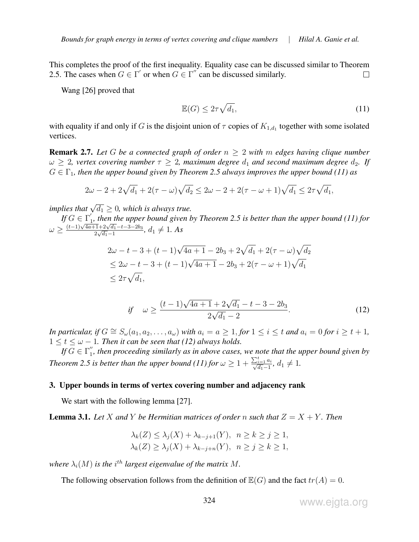This completes the proof of the first inequality. Equality case can be discussed similar to Theorem 2.5. The cases when  $G \in \Gamma'$  or when  $G \in \Gamma''$  can be discussed similarly.  $\Box$ 

Wang [26] proved that

$$
\mathbb{E}(G) \le 2\tau \sqrt{d_1},\tag{11}
$$

with equality if and only if G is the disjoint union of  $\tau$  copies of  $K_{1,d_1}$  together with some isolated vertices.

**Remark 2.7.** Let G be a connected graph of order  $n \geq 2$  with m edges having clique number  $\omega \geq 2$ , vertex covering number  $\tau \geq 2$ , maximum degree  $d_1$  and second maximum degree  $d_2$ . If  $G \in \Gamma_1$ , then the upper bound given by Theorem 2.5 always improves the upper bound (11) as

$$
2\omega - 2 + 2\sqrt{d_1} + 2(\tau - \omega)\sqrt{d_2} \le 2\omega - 2 + 2(\tau - \omega + 1)\sqrt{d_1} \le 2\tau\sqrt{d_1},
$$

implies that  $\sqrt{d_1} \geq 0$ , which is always true.

 $\textit{If } G \in \Gamma_1'$  $I_1$ , then the upper bound given by Theorem 2.5 is better than the upper bound (11) for  $\omega \geq \frac{(t-1)\sqrt{4a+1}+2\sqrt{d_1}-t-3-2b_3}{2\sqrt{d_1}-1}$  $rac{1+2\sqrt{d_1-t}-3-2b_3}{2\sqrt{d_1}-1}$ ,  $d_1 \neq 1$ . As

$$
2\omega - t - 3 + (t - 1)\sqrt{4a + 1} - 2b_3 + 2\sqrt{d_1} + 2(\tau - \omega)\sqrt{d_2}
$$
  
\n
$$
\leq 2\omega - t - 3 + (t - 1)\sqrt{4a + 1} - 2b_3 + 2(\tau - \omega + 1)\sqrt{d_1}
$$
  
\n
$$
\leq 2\tau\sqrt{d_1},
$$

if 
$$
\omega \ge \frac{(t-1)\sqrt{4a+1} + 2\sqrt{d_1} - t - 3 - 2b_3}{2\sqrt{d_1} - 2}
$$
. (12)

*In particular, if*  $G \cong S_\omega(a_1, a_2, \ldots, a_\omega)$  *with*  $a_i = a \ge 1$ , *for*  $1 \le i \le t$  *and*  $a_i = 0$  *for*  $i \ge t + 1$ *,*  $1 \le t \le \omega - 1$ . Then it can be seen that (12) always holds.

*If*  $G \in \Gamma_1''$  $I_{1}^{''}$ , then proceeding similarly as in above cases, we note that the upper bound given by *Theorem 2.5 is better than the upper bound (11) for*  $\omega \geq 1 + \frac{\sum_{i=1}^{t} a_i}{\sqrt{d_i}-1}$  $\frac{i=1}{d_1-1}^{d_1}, d_1 \neq 1.$ 

#### 3. Upper bounds in terms of vertex covering number and adjacency rank

We start with the following lemma [27].

**Lemma 3.1.** Let X and Y be Hermitian matrices of order n such that  $Z = X + Y$ . Then

$$
\lambda_k(Z) \le \lambda_j(X) + \lambda_{k-j+1}(Y), \quad n \ge k \ge j \ge 1,
$$
  

$$
\lambda_k(Z) \ge \lambda_j(X) + \lambda_{k-j+n}(Y), \quad n \ge j \ge k \ge 1,
$$

where  $\lambda_i(M)$  is the i<sup>th</sup> largest eigenvalue of the matrix M.

The following observation follows from the definition of  $\mathbb{E}(G)$  and the fact  $tr(A) = 0$ .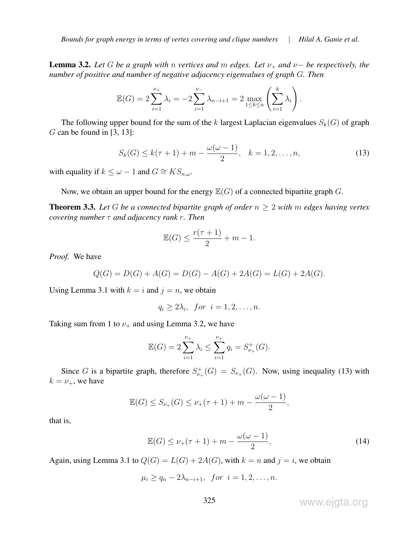*Bounds for graph energy in terms of vertex covering and clique numbers* | *Hilal A. Ganie et al.*

**Lemma 3.2.** *Let* G *be a graph with n vertices and m edges. Let*  $\nu_+$  *and*  $\nu$  − *be respectively, the number of positive and number of negative adjacency eigenvalues of graph* G*. Then*

$$
\mathbb{E}(G) = 2\sum_{i=1}^{\nu_{+}} \lambda_{i} = -2\sum_{i=1}^{\nu_{-}} \lambda_{n-i+1} = 2\max_{1 \leq k \leq n} \left(\sum_{i=1}^{k} \lambda_{i}\right).
$$

The following upper bound for the sum of the k largest Laplacian eigenvalues  $S_k(G)$  of graph  $G$  can be found in [3, 13]:

$$
S_k(G) \le k(\tau + 1) + m - \frac{\omega(\omega - 1)}{2}, \quad k = 1, 2, \dots, n,
$$
 (13)

with equality if  $k \leq \omega - 1$  and  $G \cong KS_{n,\omega}$ .

Now, we obtain an upper bound for the energy  $\mathbb{E}(G)$  of a connected bipartite graph G.

**Theorem 3.3.** Let G be a connected bipartite graph of order  $n \geq 2$  with m edges having vertex *covering number* τ *and adjacency rank* r*. Then*

$$
\mathbb{E}(G) \le \frac{r(\tau + 1)}{2} + m - 1.
$$

*Proof.* We have

$$
Q(G) = D(G) + A(G) = D(G) - A(G) + 2A(G) = L(G) + 2A(G).
$$

Using Lemma 3.1 with  $k = i$  and  $j = n$ , we obtain

$$
q_i \ge 2\lambda_i, \text{ for } i = 1, 2, \dots, n.
$$

Taking sum from 1 to  $\nu_{+}$  and using Lemma 3.2, we have

$$
\mathbb{E}(G) = 2 \sum_{i=1}^{\nu_+} \lambda_i \le \sum_{i=1}^{\nu_+} q_i = S_{\nu_+}^+(G).
$$

Since G is a bipartite graph, therefore  $S^+_{\nu+}(G) = S_{\nu+}(G)$ . Now, using inequality (13) with  $k = \nu_+$ , we have

$$
\mathbb{E}(G) \le S_{\nu_+}(G) \le \nu_+(\tau + 1) + m - \frac{\omega(\omega - 1)}{2},
$$

that is,

$$
\mathbb{E}(G) \le \nu_{+}(\tau + 1) + m - \frac{\omega(\omega - 1)}{2},\tag{14}
$$

Again, using Lemma 3.1 to  $Q(G) = L(G) + 2A(G)$ , with  $k = n$  and  $j = i$ , we obtain

$$
\mu_i \ge q_n - 2\lambda_{n-i+1}, \text{ for } i = 1, 2, \dots, n.
$$

www.ejgta.org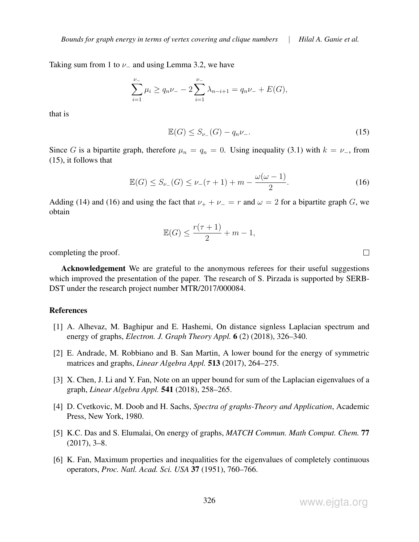*Bounds for graph energy in terms of vertex covering and clique numbers* | *Hilal A. Ganie et al.*

Taking sum from 1 to  $\nu$  and using Lemma 3.2, we have

$$
\sum_{i=1}^{\nu_-} \mu_i \ge q_n \nu_- - 2 \sum_{i=1}^{\nu_-} \lambda_{n-i+1} = q_n \nu_- + E(G),
$$

that is

$$
\mathbb{E}(G) \le S_{\nu_{-}}(G) - q_n \nu_{-}.
$$
\n(15)

Since G is a bipartite graph, therefore  $\mu_n = q_n = 0$ . Using inequality (3.1) with  $k = \nu_{-}$ , from (15), it follows that

$$
\mathbb{E}(G) \le S_{\nu_{-}}(G) \le \nu_{-}(\tau + 1) + m - \frac{\omega(\omega - 1)}{2}.
$$
 (16)

Adding (14) and (16) and using the fact that  $\nu_+ + \nu_- = r$  and  $\omega = 2$  for a bipartite graph G, we obtain

$$
\mathbb{E}(G) \le \frac{r(\tau + 1)}{2} + m - 1,
$$

completing the proof.

**Acknowledgement** We are grateful to the anonymous referees for their useful suggestions which improved the presentation of the paper. The research of S. Pirzada is supported by SERB-DST under the research project number MTR/2017/000084.

## References

- [1] A. Alhevaz, M. Baghipur and E. Hashemi, On distance signless Laplacian spectrum and energy of graphs, *Electron. J. Graph Theory Appl.* 6 (2) (2018), 326–340.
- [2] E. Andrade, M. Robbiano and B. San Martin, A lower bound for the energy of symmetric matrices and graphs, *Linear Algebra Appl.* 513 (2017), 264–275.
- [3] X. Chen, J. Li and Y. Fan, Note on an upper bound for sum of the Laplacian eigenvalues of a graph, *Linear Algebra Appl.* 541 (2018), 258–265.
- [4] D. Cvetkovic, M. Doob and H. Sachs, *Spectra of graphs-Theory and Application*, Academic Press, New York, 1980.
- [5] K.C. Das and S. Elumalai, On energy of graphs, *MATCH Commun. Math Comput. Chem.* 77  $(2017), 3–8.$
- [6] K. Fan, Maximum properties and inequalities for the eigenvalues of completely continuous operators, *Proc. Natl. Acad. Sci. USA* 37 (1951), 760–766.

 $\Box$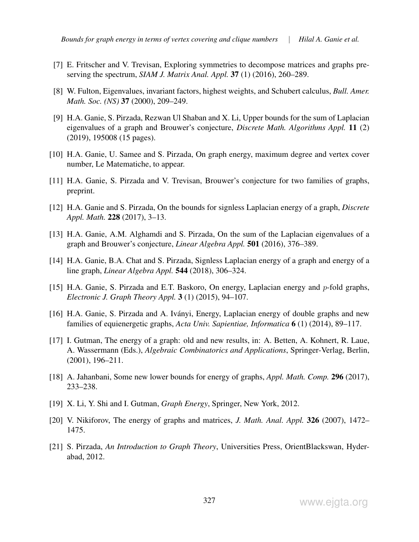- [7] E. Fritscher and V. Trevisan, Exploring symmetries to decompose matrices and graphs preserving the spectrum, *SIAM J. Matrix Anal. Appl.* 37 (1) (2016), 260–289.
- [8] W. Fulton, Eigenvalues, invariant factors, highest weights, and Schubert calculus, *Bull. Amer. Math. Soc. (NS)* 37 (2000), 209–249.
- [9] H.A. Ganie, S. Pirzada, Rezwan Ul Shaban and X. Li, Upper bounds for the sum of Laplacian eigenvalues of a graph and Brouwer's conjecture, *Discrete Math. Algorithms Appl.* 11 (2) (2019), 195008 (15 pages).
- [10] H.A. Ganie, U. Samee and S. Pirzada, On graph energy, maximum degree and vertex cover number, Le Matematiche, to appear.
- [11] H.A. Ganie, S. Pirzada and V. Trevisan, Brouwer's conjecture for two families of graphs, preprint.
- [12] H.A. Ganie and S. Pirzada, On the bounds for signless Laplacian energy of a graph, *Discrete Appl. Math.* 228 (2017), 3–13.
- [13] H.A. Ganie, A.M. Alghamdi and S. Pirzada, On the sum of the Laplacian eigenvalues of a graph and Brouwer's conjecture, *Linear Algebra Appl.* 501 (2016), 376–389.
- [14] H.A. Ganie, B.A. Chat and S. Pirzada, Signless Laplacian energy of a graph and energy of a line graph, *Linear Algebra Appl.* 544 (2018), 306–324.
- [15] H.A. Ganie, S. Pirzada and E.T. Baskoro, On energy, Laplacian energy and p-fold graphs, *Electronic J. Graph Theory Appl.* 3 (1) (2015), 94–107.
- [16] H.A. Ganie, S. Pirzada and A. Ivanyi, Energy, Laplacian energy of double graphs and new ´ families of equienergetic graphs, *Acta Univ. Sapientiae, Informatica* 6 (1) (2014), 89–117.
- [17] I. Gutman, The energy of a graph: old and new results, in: A. Betten, A. Kohnert, R. Laue, A. Wassermann (Eds.), *Algebraic Combinatorics and Applications*, Springer-Verlag, Berlin, (2001), 196–211.
- [18] A. Jahanbani, Some new lower bounds for energy of graphs, *Appl. Math. Comp.* 296 (2017), 233–238.
- [19] X. Li, Y. Shi and I. Gutman, *Graph Energy*, Springer, New York, 2012.
- [20] V. Nikiforov, The energy of graphs and matrices, *J. Math. Anal. Appl.* 326 (2007), 1472– 1475.
- [21] S. Pirzada, *An Introduction to Graph Theory*, Universities Press, OrientBlackswan, Hyderabad, 2012.